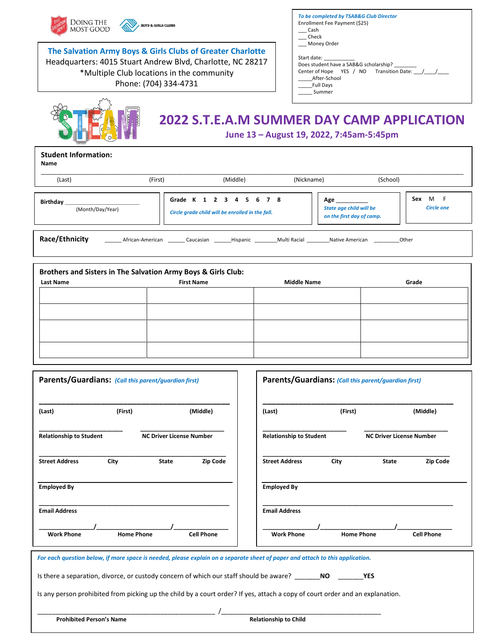| DOING THE<br><b>BOYS &amp; GIRLS CLUBS</b><br><b>MOST GOOD</b><br>The Salvation Army Boys & Girls Clubs of Greater Charlotte<br>Headquarters: 4015 Stuart Andrew Blvd, Charlotte, NC 28217<br>*Multiple Club locations in the community<br>Phone: (704) 334-4731 |                                                                         |                    | To be completed by TSAB&G Club Director<br>Enrollment Fee Payment (\$25)<br>Cash<br>Check<br>Money Order<br>Start date:<br>Does student have a SAB&G scholarship?<br>Center of Hope YES / NO Transition Date: / /<br>After-School<br><b>Full Davs</b><br>Summer                                                               |  |  |
|------------------------------------------------------------------------------------------------------------------------------------------------------------------------------------------------------------------------------------------------------------------|-------------------------------------------------------------------------|--------------------|-------------------------------------------------------------------------------------------------------------------------------------------------------------------------------------------------------------------------------------------------------------------------------------------------------------------------------|--|--|
| <b>Student Information:</b><br><b>Name</b>                                                                                                                                                                                                                       |                                                                         |                    | <b>2022 S.T.E.A.M SUMMER DAY CAMP APPLICATION</b><br>June 13 - August 19, 2022, 7:45am-5:45pm                                                                                                                                                                                                                                 |  |  |
| (First)<br>(Last)                                                                                                                                                                                                                                                | (Middle)                                                                | (Nickname)         | (School)                                                                                                                                                                                                                                                                                                                      |  |  |
| Birthday<br>(Month/Day/Year)                                                                                                                                                                                                                                     | Grade K 1 2 3 4 5 6<br>Circle grade child will be enrolled in the fall. | <b>7</b> 8         | Sex M F<br>Age have a set of the set of the set of the set of the set of the set of the set of the set of the set of the set of the set of the set of the set of the set of the set of the set of the set of the set of the set of the se<br><b>State age child will be</b><br><b>Circle one</b><br>on the first day of camp. |  |  |
| Race/Ethnicity<br>African-American Caucasian Hispanic Multi Racial Native American<br>Other                                                                                                                                                                      |                                                                         |                    |                                                                                                                                                                                                                                                                                                                               |  |  |
| Brothers and Sisters in The Salvation Army Boys & Girls Club:<br><b>Last Name</b>                                                                                                                                                                                | <b>First Name</b>                                                       | <b>Middle Name</b> | Grade                                                                                                                                                                                                                                                                                                                         |  |  |

| Parents/Guardians: (Call this parent/guardian first) |                   |                                 |                   | Parents/Guardians: (Call this parent/guardian first) |                   |                                 |                   |
|------------------------------------------------------|-------------------|---------------------------------|-------------------|------------------------------------------------------|-------------------|---------------------------------|-------------------|
| (Last)                                               | (First)           |                                 | (Middle)          | (Last)                                               | (First)           |                                 | (Middle)          |
| <b>Relationship to Student</b>                       |                   | <b>NC Driver License Number</b> |                   | <b>Relationship to Student</b>                       |                   | <b>NC Driver License Number</b> |                   |
| <b>Street Address</b>                                | City              | <b>State</b>                    | <b>Zip Code</b>   | <b>Street Address</b>                                | City              | <b>State</b>                    | Zip Code          |
| <b>Employed By</b>                                   |                   |                                 |                   | <b>Employed By</b>                                   |                   |                                 |                   |
| <b>Email Address</b>                                 |                   |                                 |                   | <b>Email Address</b>                                 |                   |                                 |                   |
| <b>Work Phone</b>                                    | <b>Home Phone</b> |                                 | <b>Cell Phone</b> | <b>Work Phone</b>                                    | <b>Home Phone</b> |                                 | <b>Cell Phone</b> |

Is any person prohibited from picking up the child by a court order? If yes, attach a copy of court order and an explanation.

**Prohibited Person's Name Relationship to Child** 

\_\_\_\_\_\_\_\_\_\_\_\_\_\_\_\_\_\_\_\_\_\_\_\_\_\_\_\_\_\_\_\_\_\_\_\_\_\_\_\_\_\_\_\_\_\_\_\_\_ /\_\_\_\_\_\_\_\_\_\_\_\_\_\_\_\_\_\_\_\_\_\_\_\_\_\_\_\_\_\_\_\_\_\_\_\_\_\_\_\_\_\_\_\_